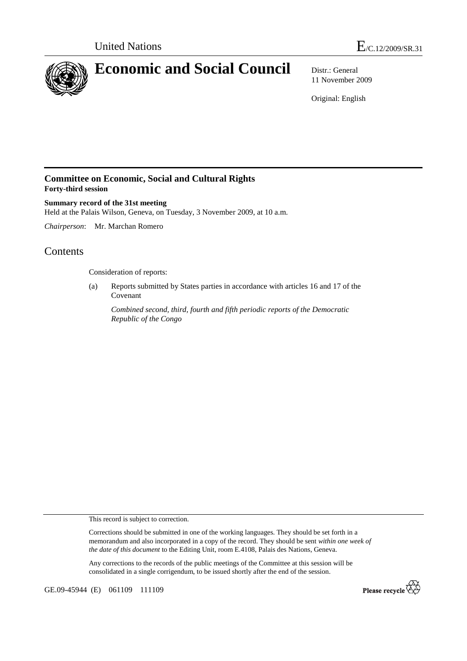

11 November 2009

Original: English

## **Committee on Economic, Social and Cultural Rights Forty-third session**

**Summary record of the 31st meeting**  Held at the Palais Wilson, Geneva, on Tuesday, 3 November 2009, at 10 a.m.

*Chairperson*: Mr. Marchan Romero

# Contents

Consideration of reports:

(a) Reports submitted by States parties in accordance with articles 16 and 17 of the Covenant

*Combined second, third, fourth and fifth periodic reports of the Democratic Republic of the Congo* 

This record is subject to correction.

Corrections should be submitted in one of the working languages. They should be set forth in a memorandum and also incorporated in a copy of the record. They should be sent *within one week of the date of this document* to the Editing Unit, room E.4108, Palais des Nations, Geneva.

Any corrections to the records of the public meetings of the Committee at this session will be consolidated in a single corrigendum, to be issued shortly after the end of the session.

GE.09-45944 (E) 061109 111109

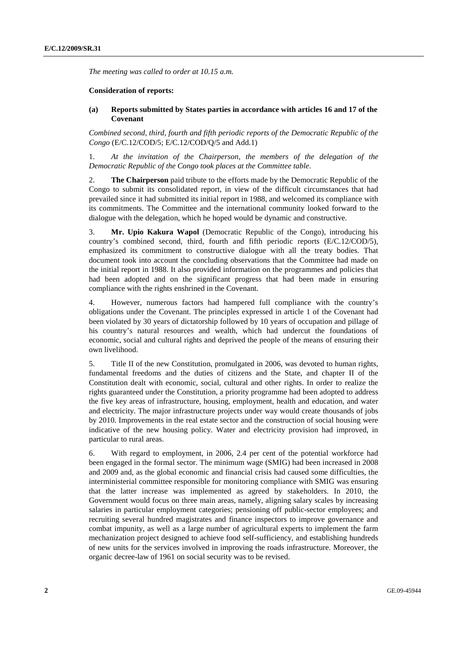*The meeting was called to order at 10.15 a.m.* 

### **Consideration of reports:**

#### **(a) Reports submitted by States parties in accordance with articles 16 and 17 of the Covenant**

*Combined second, third, fourth and fifth periodic reports of the Democratic Republic of the Congo* (E/C.12/COD/5; E/C.12/COD/Q/5 and Add.1)

1. *At the invitation of the Chairperson, the members of the delegation of the Democratic Republic of the Congo took places at the Committee table*.

2. **The Chairperson** paid tribute to the efforts made by the Democratic Republic of the Congo to submit its consolidated report, in view of the difficult circumstances that had prevailed since it had submitted its initial report in 1988, and welcomed its compliance with its commitments. The Committee and the international community looked forward to the dialogue with the delegation, which he hoped would be dynamic and constructive.

3. **Mr. Upio Kakura Wapol** (Democratic Republic of the Congo), introducing his country's combined second, third, fourth and fifth periodic reports (E/C.12/COD/5), emphasized its commitment to constructive dialogue with all the treaty bodies. That document took into account the concluding observations that the Committee had made on the initial report in 1988. It also provided information on the programmes and policies that had been adopted and on the significant progress that had been made in ensuring compliance with the rights enshrined in the Covenant.

4. However, numerous factors had hampered full compliance with the country's obligations under the Covenant. The principles expressed in article 1 of the Covenant had been violated by 30 years of dictatorship followed by 10 years of occupation and pillage of his country's natural resources and wealth, which had undercut the foundations of economic, social and cultural rights and deprived the people of the means of ensuring their own livelihood.

5. Title II of the new Constitution, promulgated in 2006, was devoted to human rights, fundamental freedoms and the duties of citizens and the State, and chapter II of the Constitution dealt with economic, social, cultural and other rights. In order to realize the rights guaranteed under the Constitution, a priority programme had been adopted to address the five key areas of infrastructure, housing, employment, health and education, and water and electricity. The major infrastructure projects under way would create thousands of jobs by 2010. Improvements in the real estate sector and the construction of social housing were indicative of the new housing policy. Water and electricity provision had improved, in particular to rural areas.

6. With regard to employment, in 2006, 2.4 per cent of the potential workforce had been engaged in the formal sector. The minimum wage (SMIG) had been increased in 2008 and 2009 and, as the global economic and financial crisis had caused some difficulties, the interministerial committee responsible for monitoring compliance with SMIG was ensuring that the latter increase was implemented as agreed by stakeholders. In 2010, the Government would focus on three main areas, namely, aligning salary scales by increasing salaries in particular employment categories; pensioning off public-sector employees; and recruiting several hundred magistrates and finance inspectors to improve governance and combat impunity, as well as a large number of agricultural experts to implement the farm mechanization project designed to achieve food self-sufficiency, and establishing hundreds of new units for the services involved in improving the roads infrastructure. Moreover, the organic decree-law of 1961 on social security was to be revised.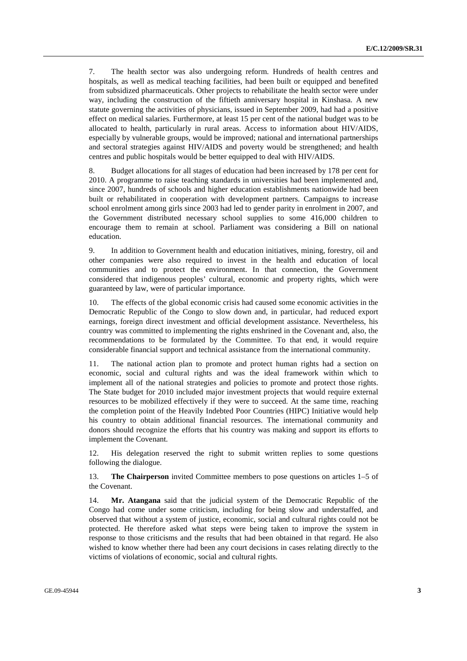7. The health sector was also undergoing reform. Hundreds of health centres and hospitals, as well as medical teaching facilities, had been built or equipped and benefited from subsidized pharmaceuticals. Other projects to rehabilitate the health sector were under way, including the construction of the fiftieth anniversary hospital in Kinshasa. A new statute governing the activities of physicians, issued in September 2009, had had a positive effect on medical salaries. Furthermore, at least 15 per cent of the national budget was to be allocated to health, particularly in rural areas. Access to information about HIV/AIDS, especially by vulnerable groups, would be improved; national and international partnerships and sectoral strategies against HIV/AIDS and poverty would be strengthened; and health centres and public hospitals would be better equipped to deal with HIV/AIDS.

8. Budget allocations for all stages of education had been increased by 178 per cent for 2010. A programme to raise teaching standards in universities had been implemented and, since 2007, hundreds of schools and higher education establishments nationwide had been built or rehabilitated in cooperation with development partners. Campaigns to increase school enrolment among girls since 2003 had led to gender parity in enrolment in 2007, and the Government distributed necessary school supplies to some 416,000 children to encourage them to remain at school. Parliament was considering a Bill on national education.

9. In addition to Government health and education initiatives, mining, forestry, oil and other companies were also required to invest in the health and education of local communities and to protect the environment. In that connection, the Government considered that indigenous peoples' cultural, economic and property rights, which were guaranteed by law, were of particular importance.

10. The effects of the global economic crisis had caused some economic activities in the Democratic Republic of the Congo to slow down and, in particular, had reduced export earnings, foreign direct investment and official development assistance. Nevertheless, his country was committed to implementing the rights enshrined in the Covenant and, also, the recommendations to be formulated by the Committee. To that end, it would require considerable financial support and technical assistance from the international community.

11. The national action plan to promote and protect human rights had a section on economic, social and cultural rights and was the ideal framework within which to implement all of the national strategies and policies to promote and protect those rights. The State budget for 2010 included major investment projects that would require external resources to be mobilized effectively if they were to succeed. At the same time, reaching the completion point of the Heavily Indebted Poor Countries (HIPC) Initiative would help his country to obtain additional financial resources. The international community and donors should recognize the efforts that his country was making and support its efforts to implement the Covenant.

12. His delegation reserved the right to submit written replies to some questions following the dialogue.

13. **The Chairperson** invited Committee members to pose questions on articles 1–5 of the Covenant.

14. **Mr. Atangana** said that the judicial system of the Democratic Republic of the Congo had come under some criticism, including for being slow and understaffed, and observed that without a system of justice, economic, social and cultural rights could not be protected. He therefore asked what steps were being taken to improve the system in response to those criticisms and the results that had been obtained in that regard. He also wished to know whether there had been any court decisions in cases relating directly to the victims of violations of economic, social and cultural rights.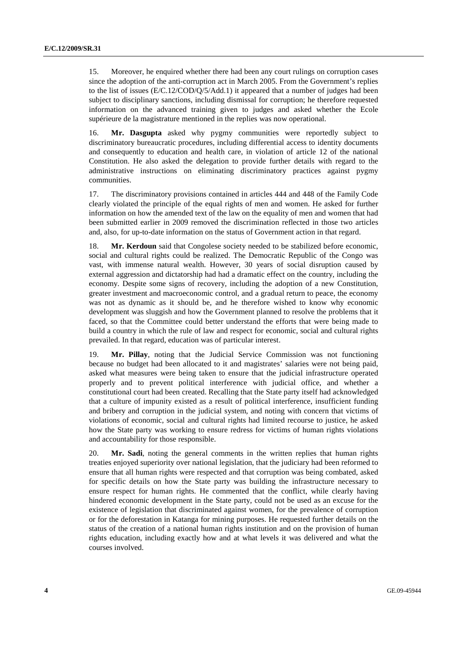15. Moreover, he enquired whether there had been any court rulings on corruption cases since the adoption of the anti-corruption act in March 2005. From the Government's replies to the list of issues (E/C.12/COD/Q/5/Add.1) it appeared that a number of judges had been subject to disciplinary sanctions, including dismissal for corruption; he therefore requested information on the advanced training given to judges and asked whether the Ecole supérieure de la magistrature mentioned in the replies was now operational.

16. **Mr. Dasgupta** asked why pygmy communities were reportedly subject to discriminatory bureaucratic procedures, including differential access to identity documents and consequently to education and health care, in violation of article 12 of the national Constitution. He also asked the delegation to provide further details with regard to the administrative instructions on eliminating discriminatory practices against pygmy communities.

17. The discriminatory provisions contained in articles 444 and 448 of the Family Code clearly violated the principle of the equal rights of men and women. He asked for further information on how the amended text of the law on the equality of men and women that had been submitted earlier in 2009 removed the discrimination reflected in those two articles and, also, for up-to-date information on the status of Government action in that regard.

18. **Mr. Kerdoun** said that Congolese society needed to be stabilized before economic, social and cultural rights could be realized. The Democratic Republic of the Congo was vast, with immense natural wealth. However, 30 years of social disruption caused by external aggression and dictatorship had had a dramatic effect on the country, including the economy. Despite some signs of recovery, including the adoption of a new Constitution, greater investment and macroeconomic control, and a gradual return to peace, the economy was not as dynamic as it should be, and he therefore wished to know why economic development was sluggish and how the Government planned to resolve the problems that it faced, so that the Committee could better understand the efforts that were being made to build a country in which the rule of law and respect for economic, social and cultural rights prevailed. In that regard, education was of particular interest.

19. **Mr. Pillay**, noting that the Judicial Service Commission was not functioning because no budget had been allocated to it and magistrates' salaries were not being paid, asked what measures were being taken to ensure that the judicial infrastructure operated properly and to prevent political interference with judicial office, and whether a constitutional court had been created. Recalling that the State party itself had acknowledged that a culture of impunity existed as a result of political interference, insufficient funding and bribery and corruption in the judicial system, and noting with concern that victims of violations of economic, social and cultural rights had limited recourse to justice, he asked how the State party was working to ensure redress for victims of human rights violations and accountability for those responsible.

20. **Mr. Sadi**, noting the general comments in the written replies that human rights treaties enjoyed superiority over national legislation, that the judiciary had been reformed to ensure that all human rights were respected and that corruption was being combated, asked for specific details on how the State party was building the infrastructure necessary to ensure respect for human rights. He commented that the conflict, while clearly having hindered economic development in the State party, could not be used as an excuse for the existence of legislation that discriminated against women, for the prevalence of corruption or for the deforestation in Katanga for mining purposes. He requested further details on the status of the creation of a national human rights institution and on the provision of human rights education, including exactly how and at what levels it was delivered and what the courses involved.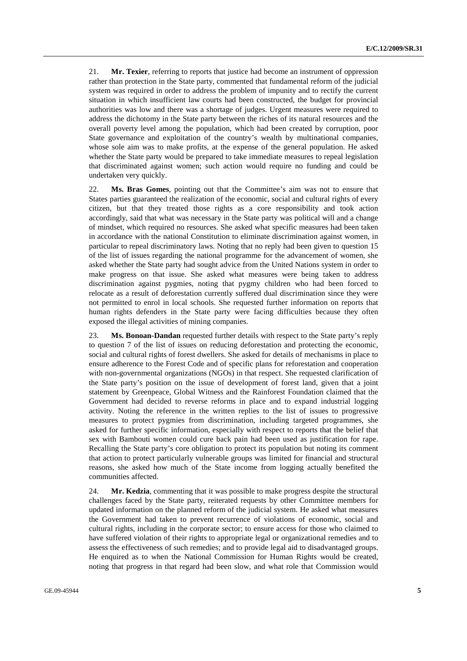21. **Mr. Texier**, referring to reports that justice had become an instrument of oppression rather than protection in the State party, commented that fundamental reform of the judicial system was required in order to address the problem of impunity and to rectify the current situation in which insufficient law courts had been constructed, the budget for provincial authorities was low and there was a shortage of judges. Urgent measures were required to address the dichotomy in the State party between the riches of its natural resources and the overall poverty level among the population, which had been created by corruption, poor State governance and exploitation of the country's wealth by multinational companies, whose sole aim was to make profits, at the expense of the general population. He asked whether the State party would be prepared to take immediate measures to repeal legislation that discriminated against women; such action would require no funding and could be undertaken very quickly.

22. **Ms. Bras Gomes**, pointing out that the Committee's aim was not to ensure that States parties guaranteed the realization of the economic, social and cultural rights of every citizen, but that they treated those rights as a core responsibility and took action accordingly, said that what was necessary in the State party was political will and a change of mindset, which required no resources. She asked what specific measures had been taken in accordance with the national Constitution to eliminate discrimination against women, in particular to repeal discriminatory laws. Noting that no reply had been given to question 15 of the list of issues regarding the national programme for the advancement of women, she asked whether the State party had sought advice from the United Nations system in order to make progress on that issue. She asked what measures were being taken to address discrimination against pygmies, noting that pygmy children who had been forced to relocate as a result of deforestation currently suffered dual discrimination since they were not permitted to enrol in local schools. She requested further information on reports that human rights defenders in the State party were facing difficulties because they often exposed the illegal activities of mining companies.

23. **Ms. Bonoan-Dandan** requested further details with respect to the State party's reply to question 7 of the list of issues on reducing deforestation and protecting the economic, social and cultural rights of forest dwellers. She asked for details of mechanisms in place to ensure adherence to the Forest Code and of specific plans for reforestation and cooperation with non-governmental organizations (NGOs) in that respect. She requested clarification of the State party's position on the issue of development of forest land, given that a joint statement by Greenpeace, Global Witness and the Rainforest Foundation claimed that the Government had decided to reverse reforms in place and to expand industrial logging activity. Noting the reference in the written replies to the list of issues to progressive measures to protect pygmies from discrimination, including targeted programmes, she asked for further specific information, especially with respect to reports that the belief that sex with Bambouti women could cure back pain had been used as justification for rape. Recalling the State party's core obligation to protect its population but noting its comment that action to protect particularly vulnerable groups was limited for financial and structural reasons, she asked how much of the State income from logging actually benefited the communities affected.

24. **Mr. Kedzia**, commenting that it was possible to make progress despite the structural challenges faced by the State party, reiterated requests by other Committee members for updated information on the planned reform of the judicial system. He asked what measures the Government had taken to prevent recurrence of violations of economic, social and cultural rights, including in the corporate sector; to ensure access for those who claimed to have suffered violation of their rights to appropriate legal or organizational remedies and to assess the effectiveness of such remedies; and to provide legal aid to disadvantaged groups. He enquired as to when the National Commission for Human Rights would be created, noting that progress in that regard had been slow, and what role that Commission would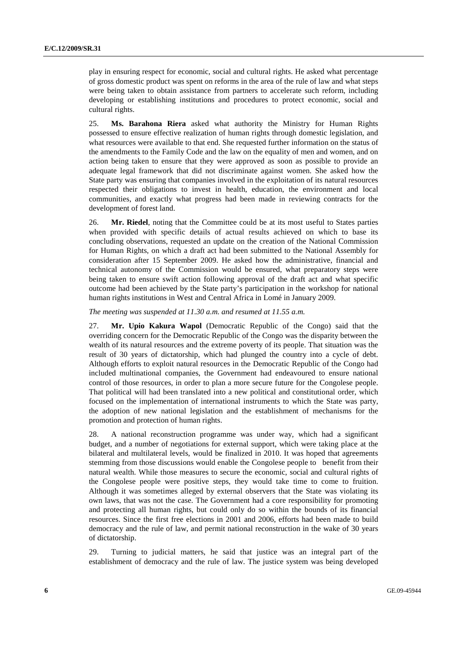play in ensuring respect for economic, social and cultural rights. He asked what percentage of gross domestic product was spent on reforms in the area of the rule of law and what steps were being taken to obtain assistance from partners to accelerate such reform, including developing or establishing institutions and procedures to protect economic, social and cultural rights.

25. **Ms. Barahona Riera** asked what authority the Ministry for Human Rights possessed to ensure effective realization of human rights through domestic legislation, and what resources were available to that end. She requested further information on the status of the amendments to the Family Code and the law on the equality of men and women, and on action being taken to ensure that they were approved as soon as possible to provide an adequate legal framework that did not discriminate against women. She asked how the State party was ensuring that companies involved in the exploitation of its natural resources respected their obligations to invest in health, education, the environment and local communities, and exactly what progress had been made in reviewing contracts for the development of forest land.

26. **Mr. Riedel**, noting that the Committee could be at its most useful to States parties when provided with specific details of actual results achieved on which to base its concluding observations, requested an update on the creation of the National Commission for Human Rights, on which a draft act had been submitted to the National Assembly for consideration after 15 September 2009. He asked how the administrative, financial and technical autonomy of the Commission would be ensured, what preparatory steps were being taken to ensure swift action following approval of the draft act and what specific outcome had been achieved by the State party's participation in the workshop for national human rights institutions in West and Central Africa in Lomé in January 2009.

#### *The meeting was suspended at 11.30 a.m. and resumed at 11.55 a.m.*

27. **Mr. Upio Kakura Wapol** (Democratic Republic of the Congo) said that the overriding concern for the Democratic Republic of the Congo was the disparity between the wealth of its natural resources and the extreme poverty of its people. That situation was the result of 30 years of dictatorship, which had plunged the country into a cycle of debt. Although efforts to exploit natural resources in the Democratic Republic of the Congo had included multinational companies, the Government had endeavoured to ensure national control of those resources, in order to plan a more secure future for the Congolese people. That political will had been translated into a new political and constitutional order, which focused on the implementation of international instruments to which the State was party, the adoption of new national legislation and the establishment of mechanisms for the promotion and protection of human rights.

28. A national reconstruction programme was under way, which had a significant budget, and a number of negotiations for external support, which were taking place at the bilateral and multilateral levels, would be finalized in 2010. It was hoped that agreements stemming from those discussions would enable the Congolese people to benefit from their natural wealth. While those measures to secure the economic, social and cultural rights of the Congolese people were positive steps, they would take time to come to fruition. Although it was sometimes alleged by external observers that the State was violating its own laws, that was not the case. The Government had a core responsibility for promoting and protecting all human rights, but could only do so within the bounds of its financial resources. Since the first free elections in 2001 and 2006, efforts had been made to build democracy and the rule of law, and permit national reconstruction in the wake of 30 years of dictatorship.

29. Turning to judicial matters, he said that justice was an integral part of the establishment of democracy and the rule of law. The justice system was being developed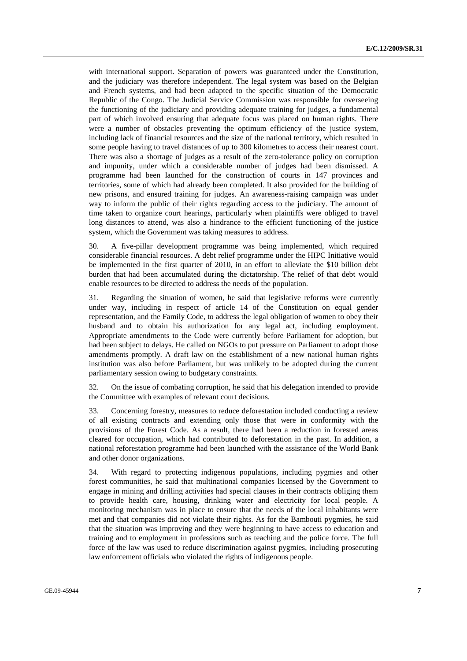with international support. Separation of powers was guaranteed under the Constitution, and the judiciary was therefore independent. The legal system was based on the Belgian and French systems, and had been adapted to the specific situation of the Democratic Republic of the Congo. The Judicial Service Commission was responsible for overseeing the functioning of the judiciary and providing adequate training for judges, a fundamental part of which involved ensuring that adequate focus was placed on human rights. There were a number of obstacles preventing the optimum efficiency of the justice system, including lack of financial resources and the size of the national territory, which resulted in some people having to travel distances of up to 300 kilometres to access their nearest court. There was also a shortage of judges as a result of the zero-tolerance policy on corruption and impunity, under which a considerable number of judges had been dismissed. A programme had been launched for the construction of courts in 147 provinces and territories, some of which had already been completed. It also provided for the building of new prisons, and ensured training for judges. An awareness-raising campaign was under way to inform the public of their rights regarding access to the judiciary. The amount of time taken to organize court hearings, particularly when plaintiffs were obliged to travel long distances to attend, was also a hindrance to the efficient functioning of the justice system, which the Government was taking measures to address.

30. A five-pillar development programme was being implemented, which required considerable financial resources. A debt relief programme under the HIPC Initiative would be implemented in the first quarter of 2010, in an effort to alleviate the \$10 billion debt burden that had been accumulated during the dictatorship. The relief of that debt would enable resources to be directed to address the needs of the population.

31. Regarding the situation of women, he said that legislative reforms were currently under way, including in respect of article 14 of the Constitution on equal gender representation, and the Family Code, to address the legal obligation of women to obey their husband and to obtain his authorization for any legal act, including employment. Appropriate amendments to the Code were currently before Parliament for adoption, but had been subject to delays. He called on NGOs to put pressure on Parliament to adopt those amendments promptly. A draft law on the establishment of a new national human rights institution was also before Parliament, but was unlikely to be adopted during the current parliamentary session owing to budgetary constraints.

32. On the issue of combating corruption, he said that his delegation intended to provide the Committee with examples of relevant court decisions.

33. Concerning forestry, measures to reduce deforestation included conducting a review of all existing contracts and extending only those that were in conformity with the provisions of the Forest Code. As a result, there had been a reduction in forested areas cleared for occupation, which had contributed to deforestation in the past. In addition, a national reforestation programme had been launched with the assistance of the World Bank and other donor organizations.

34. With regard to protecting indigenous populations, including pygmies and other forest communities, he said that multinational companies licensed by the Government to engage in mining and drilling activities had special clauses in their contracts obliging them to provide health care, housing, drinking water and electricity for local people. A monitoring mechanism was in place to ensure that the needs of the local inhabitants were met and that companies did not violate their rights. As for the Bambouti pygmies, he said that the situation was improving and they were beginning to have access to education and training and to employment in professions such as teaching and the police force. The full force of the law was used to reduce discrimination against pygmies, including prosecuting law enforcement officials who violated the rights of indigenous people.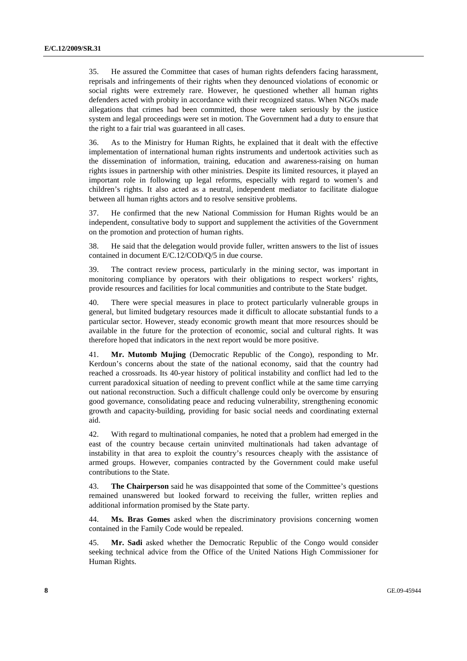35. He assured the Committee that cases of human rights defenders facing harassment, reprisals and infringements of their rights when they denounced violations of economic or social rights were extremely rare. However, he questioned whether all human rights defenders acted with probity in accordance with their recognized status. When NGOs made allegations that crimes had been committed, those were taken seriously by the justice system and legal proceedings were set in motion. The Government had a duty to ensure that the right to a fair trial was guaranteed in all cases.

36. As to the Ministry for Human Rights, he explained that it dealt with the effective implementation of international human rights instruments and undertook activities such as the dissemination of information, training, education and awareness-raising on human rights issues in partnership with other ministries. Despite its limited resources, it played an important role in following up legal reforms, especially with regard to women's and children's rights. It also acted as a neutral, independent mediator to facilitate dialogue between all human rights actors and to resolve sensitive problems.

37. He confirmed that the new National Commission for Human Rights would be an independent, consultative body to support and supplement the activities of the Government on the promotion and protection of human rights.

38. He said that the delegation would provide fuller, written answers to the list of issues contained in document E/C.12/COD/Q/5 in due course.

39. The contract review process, particularly in the mining sector, was important in monitoring compliance by operators with their obligations to respect workers' rights, provide resources and facilities for local communities and contribute to the State budget.

40. There were special measures in place to protect particularly vulnerable groups in general, but limited budgetary resources made it difficult to allocate substantial funds to a particular sector. However, steady economic growth meant that more resources should be available in the future for the protection of economic, social and cultural rights. It was therefore hoped that indicators in the next report would be more positive.

41. **Mr. Mutomb Mujing** (Democratic Republic of the Congo), responding to Mr. Kerdoun's concerns about the state of the national economy, said that the country had reached a crossroads. Its 40-year history of political instability and conflict had led to the current paradoxical situation of needing to prevent conflict while at the same time carrying out national reconstruction. Such a difficult challenge could only be overcome by ensuring good governance, consolidating peace and reducing vulnerability, strengthening economic growth and capacity-building, providing for basic social needs and coordinating external aid.

42. With regard to multinational companies, he noted that a problem had emerged in the east of the country because certain uninvited multinationals had taken advantage of instability in that area to exploit the country's resources cheaply with the assistance of armed groups. However, companies contracted by the Government could make useful contributions to the State.

43. **The Chairperson** said he was disappointed that some of the Committee's questions remained unanswered but looked forward to receiving the fuller, written replies and additional information promised by the State party.

44. **Ms. Bras Gomes** asked when the discriminatory provisions concerning women contained in the Family Code would be repealed.

45. **Mr. Sadi** asked whether the Democratic Republic of the Congo would consider seeking technical advice from the Office of the United Nations High Commissioner for Human Rights.